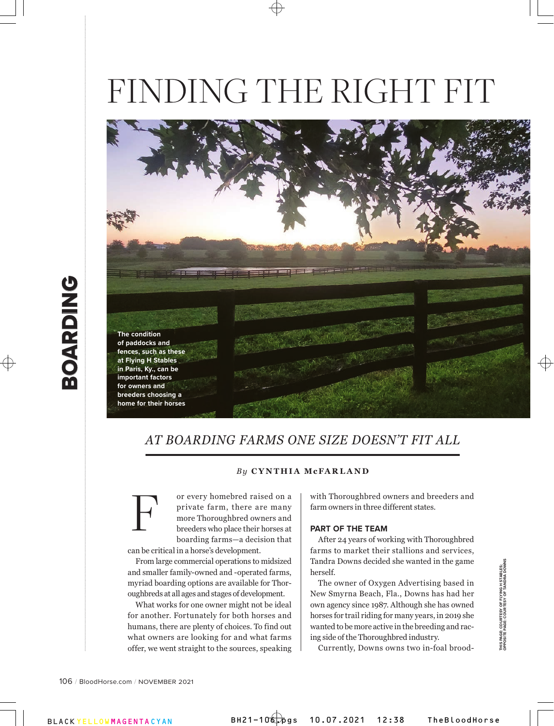# FINDING THE RIGHT FIT



# *AT BOARDING FARMS ONE SIZE DOESN'T FIT ALL*

#### *By* **CYNTHIA McFARLAND**

or every homebred raised on a private farm, there are many more Thoroughbred owners and breeders who place their horses at boarding farms—a decision that can be critical in a horse's development. F

From large commercial operations to midsized and smaller family-owned and -operated farms, myriad boarding options are available for Thoroughbreds at all ages and stages of development.

What works for one owner might not be ideal for another. Fortunately for both horses and humans, there are plenty of choices. To find out what owners are looking for and what farms offer, we went straight to the sources, speaking with Thoroughbred owners and breeders and farm owners in three different states.

#### **PART OF THE TEAM**

After 24 years of working with Thoroughbred farms to market their stallions and services, Tandra Downs decided she wanted in the game herself.

The owner of Oxygen Advertising based in New Smyrna Beach, Fla., Downs has had her own agency since 1987. Although she has owned horses for trail riding for many years, in 2019 she wanted to be more active in the breeding and racing side of the Thoroughbred industry.

**THIS PAGE: COURTESY OF FLYING H STABLES; OPPOSITE PAGE: COURTESY OF TANDRA DOWNS**

THIS PAGE: COURTESY OF FLYING H STABLES;<br>OPPOSITE PAGE: COURTESY OF TANDRA DOWNS

Currently, Downs owns two in-foal brood-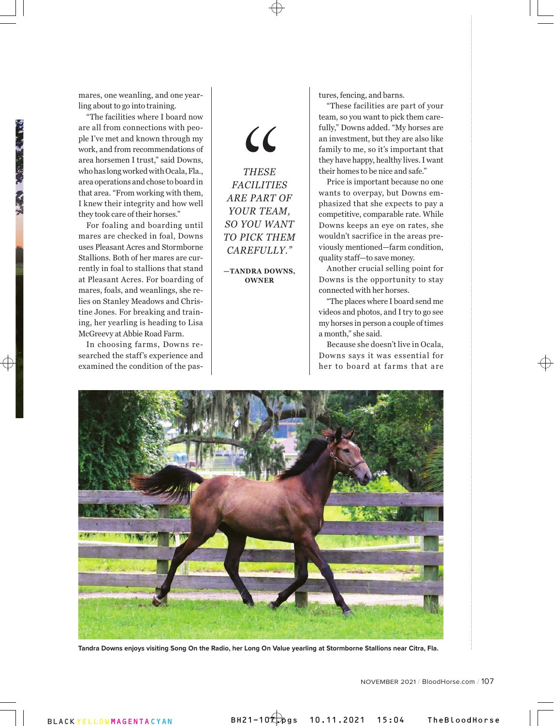mares, one weanling, and one yearling about to go into training.

"The facilities where I board now are all from connections with people I've met and known through my work, and from recommendations of area horsemen I trust," said Downs, who has long worked with Ocala, Fla., area operations and chose to board in that area. "From working with them, I knew their integrity and how well they took care of their horses."

For foaling and boarding until mares are checked in foal, Downs uses Pleasant Acres and Stormborne Stallions. Both of her mares are currently in foal to stallions that stand at Pleasant Acres. For boarding of mares, foals, and weanlings, she relies on Stanley Meadows and Christine Jones. For breaking and training, her yearling is heading to Lisa McGreevy at Abbie Road Farm.

In choosing farms, Downs researched the staff's experience and examined the condition of the pas $\mathcal{C}$ 

*THESE FACILITIES ARE PART OF YOUR TEAM, SO YOU WANT TO PICK THEM CAREFULLY."*

**—TANDRA DOWNS, OWNER**

tures, fencing, and barns.

"These facilities are part of your team, so you want to pick them carefully," Downs added. "My horses are an investment, but they are also like family to me, so it's important that they have happy, healthy lives. I want their homes to be nice and safe."

Price is important because no one wants to overpay, but Downs emphasized that she expects to pay a competitive, comparable rate. While Downs keeps an eye on rates, she wouldn't sacrifice in the areas previously mentioned—farm condition, quality staff—to save money.

Another crucial selling point for Downs is the opportunity to stay connected with her horses.

"The places where I board send me videos and photos, and I try to go see my horses in person a couple of times a month," she said.

Because she doesn't live in Ocala, Downs says it was essential for her to board at farms that are



**Tandra Downs enjoys visiting Song On the Radio, her Long On Value yearling at Stormborne Stallions near Citra, Fla.**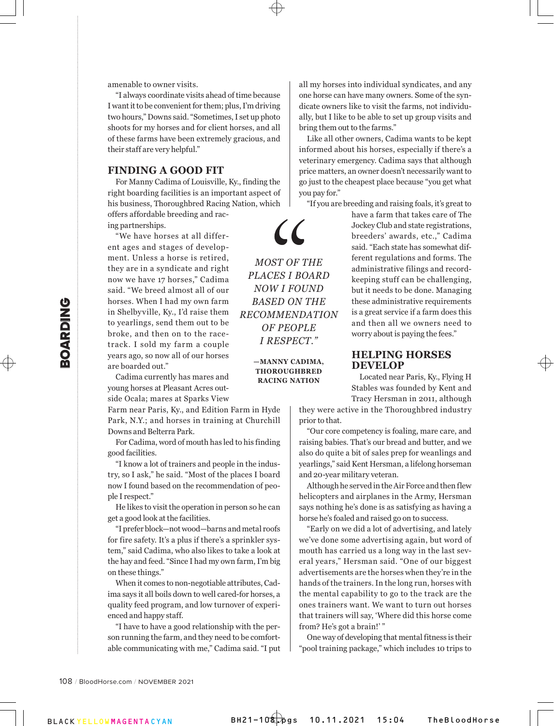amenable to owner visits.

"I always coordinate visits ahead of time because I want it to be convenient for them; plus, I'm driving two hours," Downs said. "Sometimes, I set up photo shoots for my horses and for client horses, and all of these farms have been extremely gracious, and their staff are very helpful."

## **FINDING A GOOD FIT**

For Manny Cadima of Louisville, Ky., finding the right boarding facilities is an important aspect of his business, Thoroughbred Racing Nation, which offers affordable breeding and rac- $\cal{C}$ 

> *MOST OF THE PLACES I BOARD NOW I FOUND BASED ON THE RECOMMENDATION OF PEOPLE I RESPECT."*

> > **—MANNY CADIMA, THOROUGHBRED RACING NATION**

ing partnerships.

**EXERCT 1** had my<br>
in Shelbyville, Ky., I'd r<br>
to yearlings, send them<br>
track. I sold my of arm<br>
track. I sold my farm<br>
years ago, so now all of<br>
are boarded out."<br>
Cadima currently has<br>
young horses at Pleasant<br>
side Ocal "We have horses at all different ages and stages of development. Unless a horse is retired, they are in a syndicate and right now we have 17 horses," Cadima said. "We breed almost all of our horses. When I had my own farm in Shelbyville, Ky., I'd raise them to yearlings, send them out to be broke, and then on to the racetrack. I sold my farm a couple years ago, so now all of our horses are boarded out."

Cadima currently has mares and young horses at Pleasant Acres outside Ocala; mares at Sparks View

Farm near Paris, Ky., and Edition Farm in Hyde Park, N.Y.; and horses in training at Churchill Downs and Belterra Park.

For Cadima, word of mouth has led to his finding good facilities.

"I know a lot of trainers and people in the industry, so I ask," he said. "Most of the places I board now I found based on the recommendation of people I respect."

He likes to visit the operation in person so he can get a good look at the facilities.

"I prefer block—not wood—barns and metal roofs for fire safety. It's a plus if there's a sprinkler system," said Cadima, who also likes to take a look at the hay and feed. "Since I had my own farm, I'm big on these things."

When it comes to non-negotiable attributes, Cadima says it all boils down to well cared-for horses, a quality feed program, and low turnover of experienced and happy staff.

"I have to have a good relationship with the person running the farm, and they need to be comfortable communicating with me," Cadima said. "I put

all my horses into individual syndicates, and any one horse can have many owners. Some of the syndicate owners like to visit the farms, not individually, but I like to be able to set up group visits and bring them out to the farms."

Like all other owners, Cadima wants to be kept informed about his horses, especially if there's a veterinary emergency. Cadima says that although price matters, an owner doesn't necessarily want to go just to the cheapest place because "you get what you pay for."

"If you are breeding and raising foals, it's great to

have a farm that takes care of The Jockey Club and state registrations, breeders' awards, etc.," Cadima said. "Each state has somewhat different regulations and forms. The administrative filings and recordkeeping stuff can be challenging, but it needs to be done. Managing these administrative requirements is a great service if a farm does this and then all we owners need to worry about is paying the fees."

#### **HELPING HORSES DEVELOP**

Located near Paris, Ky., Flying H Stables was founded by Kent and Tracy Hersman in 2011, although

they were active in the Thoroughbred industry prior to that.

"Our core competency is foaling, mare care, and raising babies. That's our bread and butter, and we also do quite a bit of sales prep for weanlings and yearlings," said Kent Hersman, a lifelong horseman and 20-year military veteran.

Although he served in the Air Force and then flew helicopters and airplanes in the Army, Hersman says nothing he's done is as satisfying as having a horse he's foaled and raised go on to success.

"Early on we did a lot of advertising, and lately we've done some advertising again, but word of mouth has carried us a long way in the last several years," Hersman said. "One of our biggest advertisements are the horses when they're in the hands of the trainers. In the long run, horses with the mental capability to go to the track are the ones trainers want. We want to turn out horses that trainers will say, 'Where did this horse come from? He's got a brain!' "

One way of developing that mental fitness is their "pool training package," which includes 10 trips to

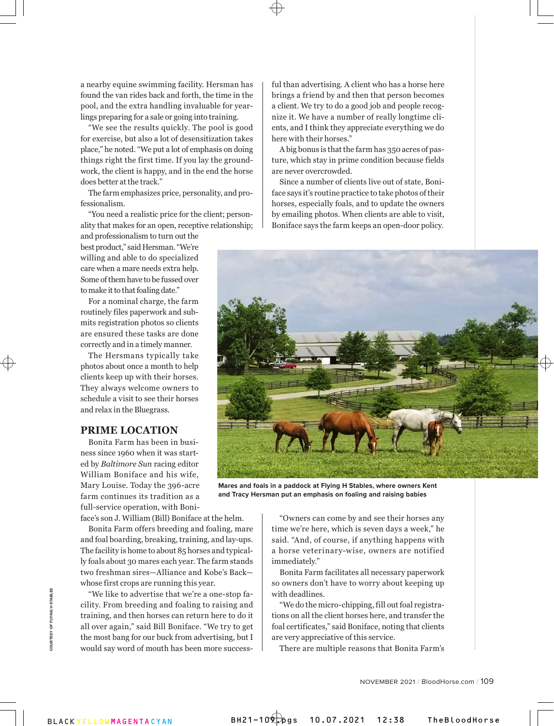a nearby equine swimming facility. Hersman has found the van rides back and forth, the time in the pool, and the extra handling invaluable for yearlings preparing for a sale or going into training.

"We see the results quickly. The pool is good for exercise, but also a lot of desensitization takes place," he noted. "We put a lot of emphasis on doing things right the first time. If you lay the groundwork, the client is happy, and in the end the horse does better at the track."

The farm emphasizes price, personality, and professionalism.

"You need a realistic price for the client; personality that makes for an open, receptive relationship;

and professionalism to turn out the best product," said Hersman. "We're willing and able to do specialized care when a mare needs extra help. Some of them have to be fussed over to make it to that foaling date."

For a nominal charge, the farm routinely files paperwork and submits registration photos so clients are ensured these tasks are done correctly and in a timely manner.

The Hersmans typically take photos about once a month to help clients keep up with their horses. They always welcome owners to schedule a visit to see their horses and relax in the Bluegrass.

### **PRIME LOCATION**

Bonita Farm has been in business since 1960 when it was started by *Baltimore Sun* racing editor William Boniface and his wife, Mary Louise. Today the 396-acre farm continues its tradition as a full-service operation, with Boni-

face's son J. William (Bill) Boniface at the helm.

Bonita Farm offers breeding and foaling, mare and foal boarding, breaking, training, and lay-ups. The facility is home to about 85 horses and typically foals about 30 mares each year. The farm stands two freshman sires—Alliance and Kobe's Back whose first crops are running this year.

"We like to advertise that we're a one-stop facility. From breeding and foaling to raising and training, and then horses can return here to do it all over again," said Bill Boniface. "We try to get the most bang for our buck from advertising, but I would say word of mouth has been more successful than advertising. A client who has a horse here brings a friend by and then that person becomes a client. We try to do a good job and people recognize it. We have a number of really longtime clients, and I think they appreciate everything we do here with their horses."

A big bonus is that the farm has 350 acres of pasture, which stay in prime condition because fields are never overcrowded.

Since a number of clients live out of state, Boniface says it's routine practice to take photos of their horses, especially foals, and to update the owners by emailing photos. When clients are able to visit, Boniface says the farm keeps an open-door policy.



**Mares and foals in a paddock at Flying H Stables, where owners Kent and Tracy Hersman put an emphasis on foaling and raising babies**

"Owners can come by and see their horses any time we're here, which is seven days a week," he said. "And, of course, if anything happens with a horse veterinary-wise, owners are notified immediately."

Bonita Farm facilitates all necessary paperwork so owners don't have to worry about keeping up with deadlines.

"We do the micro-chipping, fill out foal registrations on all the client horses here, and transfer the foal certificates," said Boniface, noting that clients are very appreciative of this service.

There are multiple reasons that Bonita Farm's